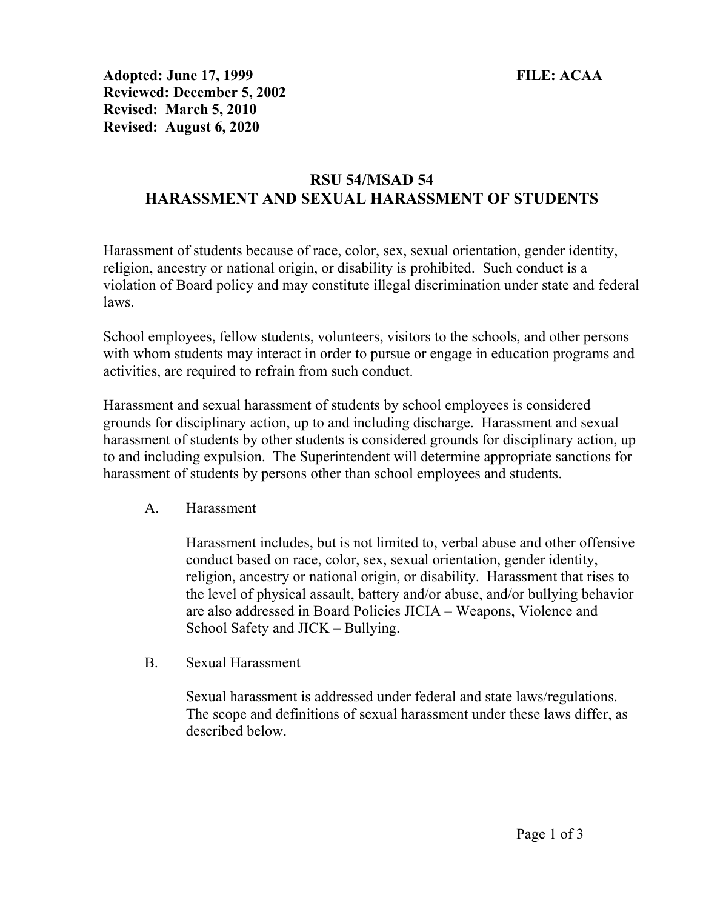Adopted: June 17, 1999 FILE: ACAA Reviewed: December 5, 2002 Revised: March 5, 2010 Revised: August 6, 2020

## RSU 54/MSAD 54 HARASSMENT AND SEXUAL HARASSMENT OF STUDENTS

Harassment of students because of race, color, sex, sexual orientation, gender identity, religion, ancestry or national origin, or disability is prohibited. Such conduct is a violation of Board policy and may constitute illegal discrimination under state and federal laws.

School employees, fellow students, volunteers, visitors to the schools, and other persons with whom students may interact in order to pursue or engage in education programs and activities, are required to refrain from such conduct.

Harassment and sexual harassment of students by school employees is considered grounds for disciplinary action, up to and including discharge. Harassment and sexual harassment of students by other students is considered grounds for disciplinary action, up to and including expulsion. The Superintendent will determine appropriate sanctions for harassment of students by persons other than school employees and students.

A. Harassment

Harassment includes, but is not limited to, verbal abuse and other offensive conduct based on race, color, sex, sexual orientation, gender identity, religion, ancestry or national origin, or disability. Harassment that rises to the level of physical assault, battery and/or abuse, and/or bullying behavior are also addressed in Board Policies JICIA – Weapons, Violence and School Safety and JICK – Bullying.

B. Sexual Harassment

Sexual harassment is addressed under federal and state laws/regulations. The scope and definitions of sexual harassment under these laws differ, as described below.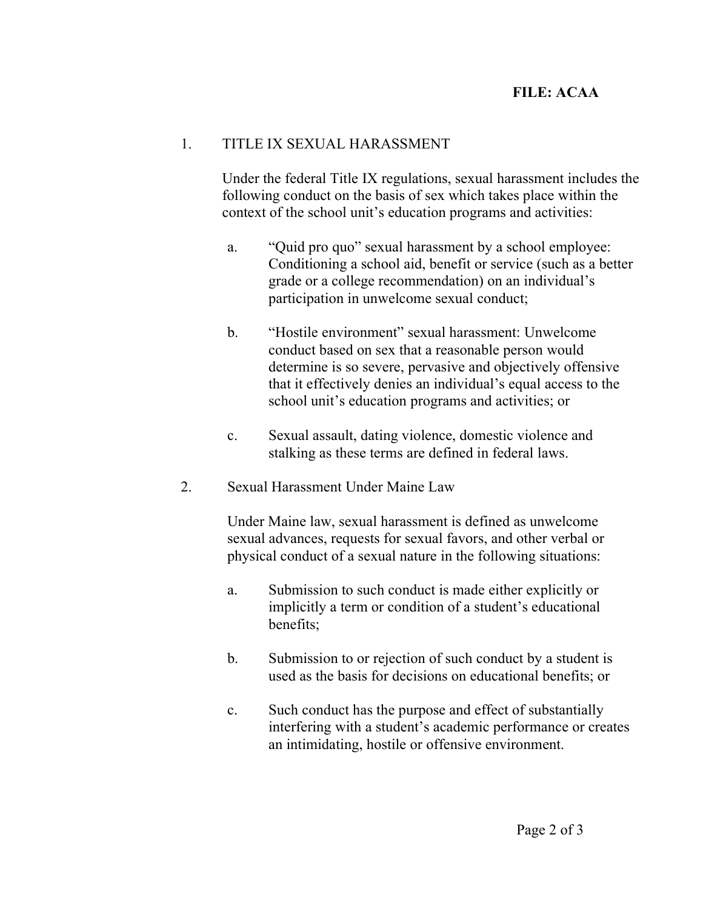## FILE: ACAA

## 1. TITLE IX SEXUAL HARASSMENT

Under the federal Title IX regulations, sexual harassment includes the following conduct on the basis of sex which takes place within the context of the school unit's education programs and activities:

- a. "Quid pro quo" sexual harassment by a school employee: Conditioning a school aid, benefit or service (such as a better grade or a college recommendation) on an individual's participation in unwelcome sexual conduct;
- b. "Hostile environment" sexual harassment: Unwelcome conduct based on sex that a reasonable person would determine is so severe, pervasive and objectively offensive that it effectively denies an individual's equal access to the school unit's education programs and activities; or
- c. Sexual assault, dating violence, domestic violence and stalking as these terms are defined in federal laws.
- 2. Sexual Harassment Under Maine Law

Under Maine law, sexual harassment is defined as unwelcome sexual advances, requests for sexual favors, and other verbal or physical conduct of a sexual nature in the following situations:

- a. Submission to such conduct is made either explicitly or implicitly a term or condition of a student's educational benefits;
- b. Submission to or rejection of such conduct by a student is used as the basis for decisions on educational benefits; or
- c. Such conduct has the purpose and effect of substantially interfering with a student's academic performance or creates an intimidating, hostile or offensive environment.